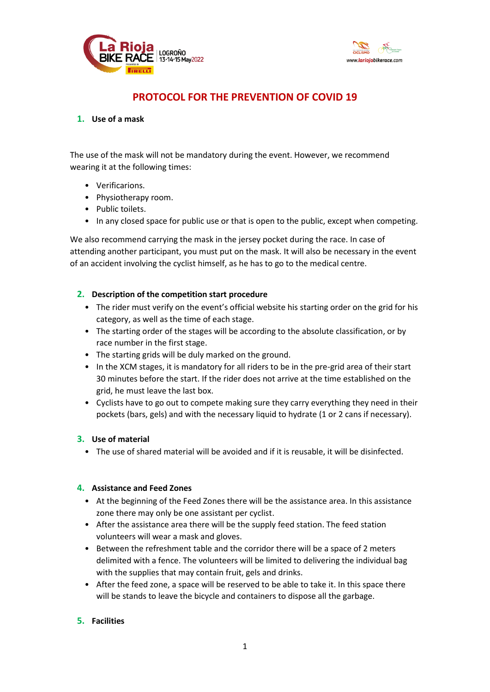



# **PROTOCOL FOR THE PREVENTION OF COVID 19**

## **1. Use of a mask**

The use of the mask will not be mandatory during the event. However, we recommend wearing it at the following times:

- Verificarions.
- Physiotherapy room.
- Public toilets.
- In any closed space for public use or that is open to the public, except when competing.

We also recommend carrying the mask in the jersey pocket during the race. In case of attending another participant, you must put on the mask. It will also be necessary in the event of an accident involving the cyclist himself, as he has to go to the medical centre.

# **2. Description of the competition start procedure**

- The rider must verify on the event's official website his starting order on the grid for his category, as well as the time of each stage.
- The starting order of the stages will be according to the absolute classification, or by race number in the first stage.
- The starting grids will be duly marked on the ground.
- In the XCM stages, it is mandatory for all riders to be in the pre-grid area of their start 30 minutes before the start. If the rider does not arrive at the time established on the grid, he must leave the last box.
- Cyclists have to go out to compete making sure they carry everything they need in their pockets (bars, gels) and with the necessary liquid to hydrate (1 or 2 cans if necessary).

## **3. Use of material**

• The use of shared material will be avoided and if it is reusable, it will be disinfected.

## **4. Assistance and Feed Zones**

- At the beginning of the Feed Zones there will be the assistance area. In this assistance zone there may only be one assistant per cyclist.
- After the assistance area there will be the supply feed station. The feed station volunteers will wear a mask and gloves.
- Between the refreshment table and the corridor there will be a space of 2 meters delimited with a fence. The volunteers will be limited to delivering the individual bag with the supplies that may contain fruit, gels and drinks.
- After the feed zone, a space will be reserved to be able to take it. In this space there will be stands to leave the bicycle and containers to dispose all the garbage.

## **5. Facilities**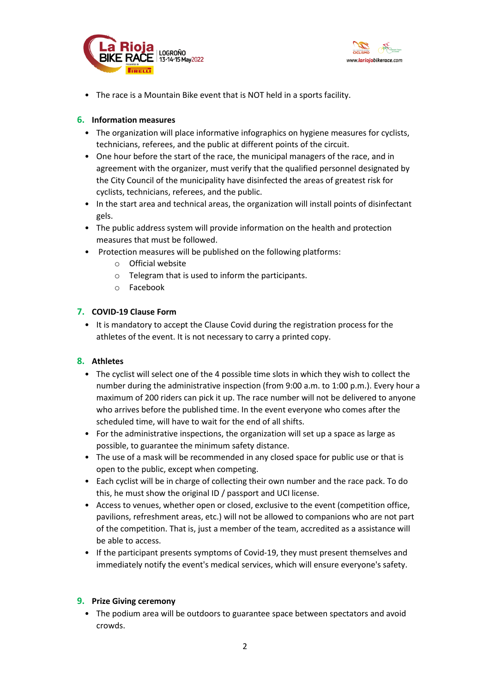



• The race is a Mountain Bike event that is NOT held in a sports facility.

## **6. Information measures**

- The organization will place informative infographics on hygiene measures for cyclists, technicians, referees, and the public at different points of the circuit.
- One hour before the start of the race, the municipal managers of the race, and in agreement with the organizer, must verify that the qualified personnel designated by the City Council of the municipality have disinfected the areas of greatest risk for cyclists, technicians, referees, and the public.
- In the start area and technical areas, the organization will install points of disinfectant gels.
- The public address system will provide information on the health and protection measures that must be followed.
- Protection measures will be published on the following platforms:
	- o Official website
	- o Telegram that is used to inform the participants.
	- o Facebook

## **7. COVID-19 Clause Form**

• It is mandatory to accept the Clause Covid during the registration process for the athletes of the event. It is not necessary to carry a printed copy.

#### **8. Athletes**

- The cyclist will select one of the 4 possible time slots in which they wish to collect the number during the administrative inspection (from 9:00 a.m. to 1:00 p.m.). Every hour a maximum of 200 riders can pick it up. The race number will not be delivered to anyone who arrives before the published time. In the event everyone who comes after the scheduled time, will have to wait for the end of all shifts.
- For the administrative inspections, the organization will set up a space as large as possible, to guarantee the minimum safety distance.
- The use of a mask will be recommended in any closed space for public use or that is open to the public, except when competing.
- Each cyclist will be in charge of collecting their own number and the race pack. To do this, he must show the original ID / passport and UCI license.
- Access to venues, whether open or closed, exclusive to the event (competition office, pavilions, refreshment areas, etc.) will not be allowed to companions who are not part of the competition. That is, just a member of the team, accredited as a assistance will be able to access.
- If the participant presents symptoms of Covid-19, they must present themselves and immediately notify the event's medical services, which will ensure everyone's safety.

#### **9. Prize Giving ceremony**

• The podium area will be outdoors to guarantee space between spectators and avoid crowds.